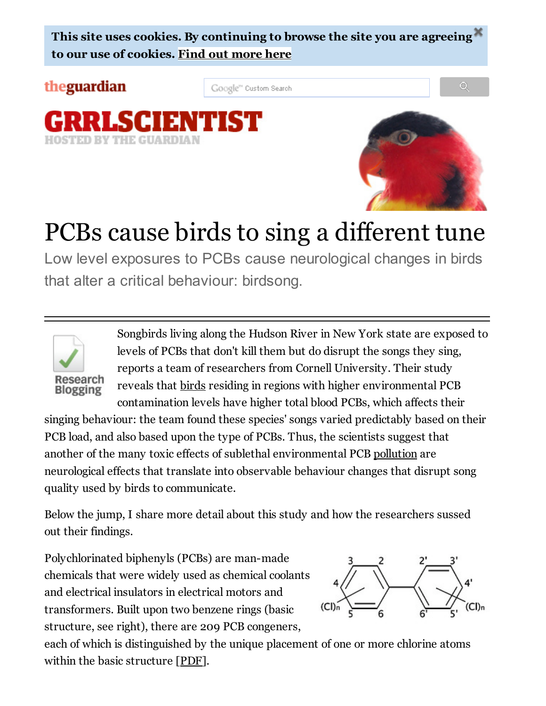This site uses cookies. By continuing to browse the site you are agreeing to our use of cookies. Find out [more](http://www.theguardian.com/info/cookies) here

### theguardian

RLSCIENT

**IOSTED BY THE CHARDL** 

Google<sup>m</sup> Custom Search



 $\Omega$ 

# PCBs cause birds to sing a different tune

Low level exposures to PCBs cause neurological changes in birds that alter a critical behaviour: birdsong.



Songbirds living along the Hudson River in New York state are exposed to levels of PCBs that don't kill them but do disrupt the songs they sing, reports a team of researchers from Cornell University. Their study reveals that [birds](http://www.theguardian.com/environment/birds) residing in regions with higher environmental PCB contamination levels have higher total blood PCBs, which affects their

singing behaviour: the team found these species' songs varied predictably based on their PCB load, and also based upon the type of PCBs. Thus, the scientists suggest that another of the many toxic effects of sublethal environmental PCB [pollution](http://www.theguardian.com/environment/pollution) are neurological effects that translate into observable behaviour changes that disrupt song quality used by birds to communicate.

Below the jump, I share more detail about this study and how the researchers sussed out their findings.

Polychlorinated biphenyls (PCBs) are man-made chemicals that were widely used as chemical coolants and electrical insulators in electrical motors and transformers. Built upon two benzene rings (basic structure, see right), there are 209 PCB congeners,



each of which is distinguished by the unique placement of one or more chlorine atoms within the basic structure [[PDF\]](http://www.epa.gov/osw/hazard/tsd/pcbs/pubs/congenertable.pdf).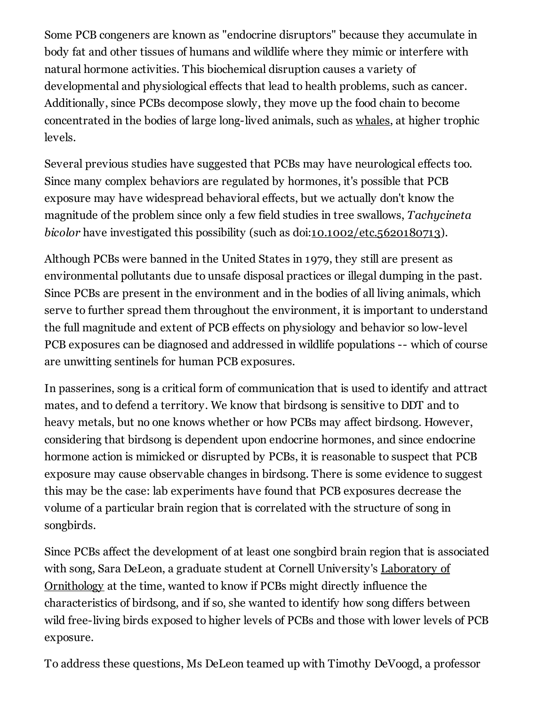Some PCB congeners are known as "endocrine disruptors" because they accumulate in body fat and other tissues of humans and wildlife where they mimic or interfere with natural hormone activities. This biochemical disruption causes a variety of developmental and physiological effects that lead to health problems, such as cancer. Additionally, since PCBs decompose slowly, they move up the food chain to become concentrated in the bodies of large long-lived animals, such as [whales](http://www.theguardian.com/science/grrlscientist/2013/sep/17/whale-earwax-pollution-exposure), at higher trophic levels.

Several previous studies have suggested that PCBs may have neurological effects too. Since many complex behaviors are regulated by hormones, it's possible that PCB exposure may have widespread behavioral effects, but we actually don't know the magnitude of the problem since only a few field studies in tree swallows, *Tachycineta bicolor* have investigated this possibility (such as doi[:10.1002/etc.5620180713](http://dx.doi.org/10.1002%2Fetc.5620180713)).

Although PCBs were banned in the United States in 1979, they still are present as environmental pollutants due to unsafe disposal practices or illegal dumping in the past. Since PCBs are present in the environment and in the bodies of all living animals, which serve to further spread them throughout the environment, it is important to understand the full magnitude and extent of PCB effects on physiology and behavior so low-level PCB exposures can be diagnosed and addressed in wildlife populations -- which of course are unwitting sentinels for human PCB exposures.

In passerines, song is a critical form of communication that is used to identify and attract mates, and to defend a territory. We know that birdsong is sensitive to DDT and to heavy metals, but no one knows whether or how PCBs may affect birdsong. However, considering that birdsong is dependent upon endocrine hormones, and since endocrine hormone action is mimicked or disrupted by PCBs, it is reasonable to suspect that PCB exposure may cause observable changes in birdsong. There is some evidence to suggest this may be the case: lab experiments have found that PCB exposures decrease the volume of a particular brain region that is correlated with the structure of song in songbirds.

Since PCBs affect the development of at least one songbird brain region that is associated with song, Sara DeLeon, a graduate student at Cornell [University's](http://www.birds.cornell.edu/Page.aspx?pid=1478) Laboratory of Ornithology at the time, wanted to know if PCBs might directly influence the characteristics of birdsong, and if so, she wanted to identify how song differs between wild free-living birds exposed to higher levels of PCBs and those with lower levels of PCB exposure.

To address these questions, Ms DeLeon teamed up with Timothy DeVoogd, a professor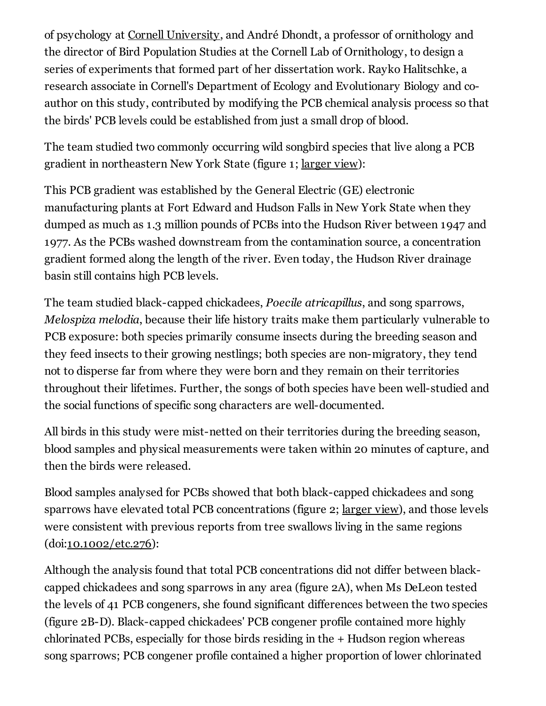of psychology at Cornell [University,](http://www.cornell.edu/) and André Dhondt, a professor of ornithology and the director of Bird Population Studies at the Cornell Lab of Ornithology, to design a series of experiments that formed part of her dissertation work. Rayko Halitschke, a research associate in Cornell's Department of Ecology and Evolutionary Biology and coauthor on this study, contributed by modifying the PCB chemical analysis process so that the birds' PCB levels could be established from just a small drop of blood.

The team studied two commonly occurring wild songbird species that live along a PCB gradient in northeastern New York State (figure 1; [larger](http://www.flickr.com/photos/30540563@N08/9817087843/) view):

This PCB gradient was established by the General Electric (GE) electronic manufacturing plants at Fort Edward and Hudson Falls in New York State when they dumped as much as 1.3 million pounds of PCBs into the Hudson River between 1947 and 1977. As the PCBs washed downstream from the contamination source, a concentration gradient formed along the length of the river. Even today, the Hudson River drainage basin still contains high PCB levels.

The team studied black-capped chickadees, *Poecile atricapillus*, and song sparrows, *Melospiza melodia*, because their life history traits make them particularly vulnerable to PCB exposure: both species primarily consume insects during the breeding season and they feed insects to their growing nestlings; both species are non-migratory, they tend not to disperse far from where they were born and they remain on their territories throughout their lifetimes. Further, the songs of both species have been well-studied and the social functions of specific song characters are well-documented.

All birds in this study were mist-netted on their territories during the breeding season, blood samples and physical measurements were taken within 20 minutes of capture, and then the birds were released.

Blood samples analysed for PCBs showed that both black-capped chickadees and song sparrows have elevated total PCB concentrations (figure 2; [larger](http://www.flickr.com/photos/30540563@N08/9818218314/) view), and those levels were consistent with previous reports from tree swallows living in the same regions  $(doi:10.1002/etc.276)$  $(doi:10.1002/etc.276)$ :

Although the analysis found that total PCB concentrations did not differ between blackcapped chickadees and song sparrows in any area (figure 2A), when Ms DeLeon tested the levels of 41 PCB congeners, she found significant differences between the two species (figure 2B-D). Black-capped chickadees' PCB congener profile contained more highly chlorinated PCBs, especially for those birds residing in the + Hudson region whereas song sparrows; PCB congener profile contained a higher proportion of lower chlorinated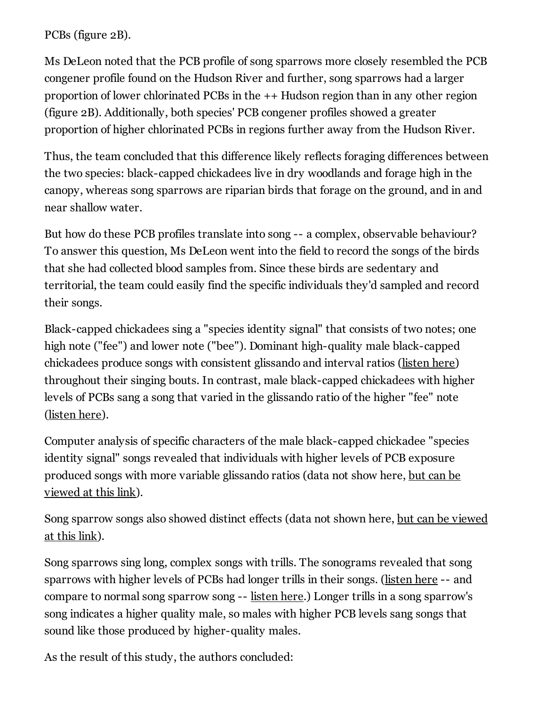PCBs (figure 2B).

Ms DeLeon noted that the PCB profile of song sparrows more closely resembled the PCB congener profile found on the Hudson River and further, song sparrows had a larger proportion of lower chlorinated PCBs in the ++ Hudson region than in any other region (figure 2B). Additionally, both species' PCB congener profiles showed a greater proportion of higher chlorinated PCBs in regions further away from the Hudson River.

Thus, the team concluded that this difference likely reflects foraging differences between the two species: black-capped chickadees live in dry woodlands and forage high in the canopy, whereas song sparrows are riparian birds that forage on the ground, and in and near shallow water.

But how do these PCB profiles translate into song -- a complex, observable behaviour? To answer this question, Ms DeLeon went into the field to record the songs of the birds that she had collected blood samples from. Since these birds are sedentary and territorial, the team could easily find the specific individuals they'd sampled and record their songs.

Black-capped chickadees sing a "species identity signal" that consists of two notes; one high note ("fee") and lower note ("bee"). Dominant high-quality male black-capped chickadees produce songs with consistent glissando and interval ratios [\(listen](http://www.seagrant.sunysb.edu/media/coastlines-fall12/SD285_2007IthCBCCH_Consistent.wav) here) throughout their singing bouts. In contrast, male black-capped chickadees with higher levels of PCBs sang a song that varied in the glissando ratio of the higher "fee" note ([listen](http://www.seagrant.sunysb.edu/media/coastlines-fall12/SD186_2007LHBCCH_Inconsistent.wav) here).

Computer analysis of specific characters of the male black-capped chickadee "species identity signal" songs revealed that individuals with higher levels of PCB exposure [produced](http://www.flickr.com/photos/30540563@N08/9819101045/) songs with more variable glissando ratios (data not show here, but can be viewed at this link).

Song [sparrow](http://www.flickr.com/photos/30540563@N08/9820476066/) songs also showed distinct effects (data not shown here, but can be viewed at this link).

Song sparrows sing long, complex songs with trills. The sonograms revealed that song sparrows with higher levels of PCBs had longer trills in their songs. ([listen](http://www.seagrant.sunysb.edu/media/coastlines-fall12/SD106_2007MHESOSP_HighPerformance.wav) here -- and compare to normal song sparrow song -- [listen](http://www.seagrant.sunysb.edu/media/coastlines-fall12/SD617_2007ITHSOSP_LowPerformance.wav) here.) Longer trills in a song sparrow's song indicates a higher quality male, so males with higher PCB levels sang songs that sound like those produced by higher-quality males.

As the result of this study, the authors concluded: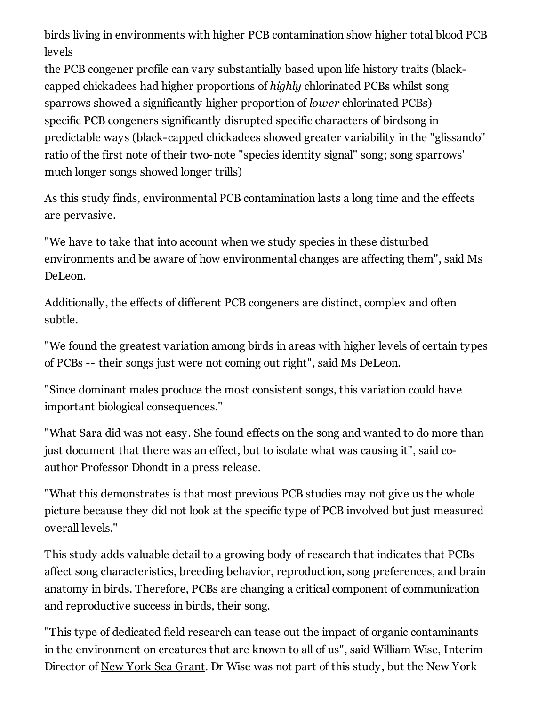birds living in environments with higher PCB contamination show higher total blood PCB levels

the PCB congener profile can vary substantially based upon life history traits (blackcapped chickadees had higher proportions of *highly* chlorinated PCBs whilst song sparrows showed a significantly higher proportion of *lower* chlorinated PCBs) specific PCB congeners significantly disrupted specific characters of birdsong in predictable ways (black-capped chickadees showed greater variability in the "glissando" ratio of the first note of their two-note "species identity signal" song; song sparrows' much longer songs showed longer trills)

As this study finds, environmental PCB contamination lasts a long time and the effects are pervasive.

"We have to take that into account when we study species in these disturbed environments and be aware of how environmental changes are affecting them", said Ms DeLeon.

Additionally, the effects of different PCB congeners are distinct, complex and often subtle.

"We found the greatest variation among birds in areas with higher levels of certain types of PCBs -- their songs just were not coming out right", said Ms DeLeon.

"Since dominant males produce the most consistent songs, this variation could have important biological consequences."

"What Sara did was not easy. She found effects on the song and wanted to do more than just document that there was an effect, but to isolate what was causing it", said coauthor Professor Dhondt in a press release.

"What this demonstrates is that most previous PCB studies may not give us the whole picture because they did not look at the specific type of PCB involved but just measured overall levels."

This study adds valuable detail to a growing body of research that indicates that PCBs affect song characteristics, breeding behavior, reproduction, song preferences, and brain anatomy in birds. Therefore, PCBs are changing a critical component of communication and reproductive success in birds, their song.

"This type of dedicated field research can tease out the impact of organic contaminants in the environment on creatures that are known to all of us", said William Wise, Interim Director of New York Sea [Grant](http://www.seagrant.sunysb.edu/). Dr Wise was not part of this study, but the New York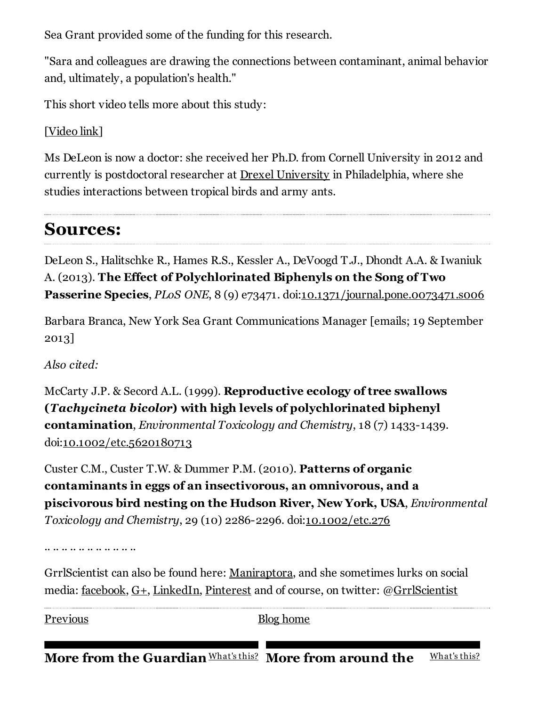Sea Grant provided some of the funding for this research.

"Sara and colleagues are drawing the connections between contaminant, animal behavior and, ultimately, a population's health."

This short video tells more about this study:

#### [[Video](http://youtu.be/hgfRHMK1Om8) link]

Ms DeLeon is now a doctor: she received her Ph.D. from Cornell University in 2012 and currently is postdoctoral researcher at Drexel [University](http://www.drexel.edu/) in Philadelphia, where she studies interactions between tropical birds and army ants.

## Sources:

DeLeon S., Halitschke R., Hames R.S., Kessler A., DeVoogd T.J., Dhondt A.A. & Iwaniuk A. (2013). The Effect of Polychlorinated Biphenyls on the Song of Two Passerine Species, *PLoS ONE*, 8 (9) e73471. doi[:10.1371/journal.pone.0073471.s006](http://dx.doi.org/10.1371%2Fjournal.pone.0073471.s006)

Barbara Branca, New York Sea Grant Communications Manager [emails; 19 September 2013]

*Also cited:*

McCarty J.P. & Secord A.L. (1999). Reproductive ecology of tree swallows (*Tachycineta bicolor*) with high levels of polychlorinated biphenyl contamination, *Environmental Toxicology and Chemistry*, 18 (7) 1433-1439. doi:[10.1002/etc.5620180713](http://dx.doi.org/10.1002%2Fetc.5620180713)

Custer C.M., Custer T.W. & Dummer P.M. (2010). Patterns of organic contaminants in eggs of an insectivorous, an omnivorous, and a piscivorous bird nesting on the Hudson River, New York, USA, *Environmental Toxicology and Chemistry*, 29 (10) 2286-2296. doi:[10.1002/etc.276](http://dx.doi.org/10.1002%2Fetc.276)

.. .. .. .. .. .. .. .. .. .. ..

GrrlScientist can also be found here: [Maniraptora,](http://www.scilogs.com/maniraptora/) and she sometimes lurks on social media: [facebook](http://www.facebook.com/grrlscientist), [G+](http://gplus.to/grrlscientist), [LinkedIn,](http://www.linkedin.com/pub/grrl-scientist/15/324/b89) [Pinterest](http://pinterest.com/grrlscientist/) and of course, on twitter: [@GrrlScientist](https://twitter.com/GrrlScientist)

**[Previous](http://www.theguardian.com/science/grrlscientist/2013/sep/20/chemistry-chemistry)** 

Blog [home](http://www.theguardian.com/science/grrlscientist)

More from the Guardian [What's](http://www.theguardian.com/science/grrlscientist/2013/sep/20/birds-birdsong-behaviour-pollution-mercury-pcbs-science?CMP=twt_gu#) this? More from around the What's this?